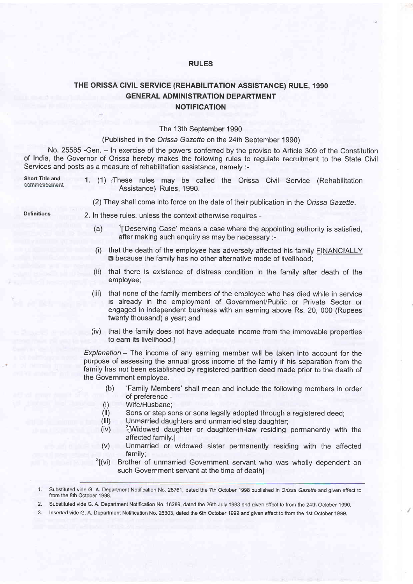## RULES

## THE ORISSA CIVIL SERVICE (REHABILITATION ASSISTANCE) RULE, 1990 **GENERAL ADMINISTRATION DEPARTMENT NOTIFICATION**

## The 13th September 1990

## (Published in the Orissa Gazette on the 24th September 1990)

No. 25585 -Gen. - In exercise of the powers conferred by the proviso to Article 309 of the Constitution of India, the Governor of Orissa hereby makes the following rules to regulate recruitment to the State Civil Services and posts as a measure of rehabilitation assistance, namely :-

Short Title and<br>commencement

- . 1. (1) ,These rules may be called the Orissa Civil Seruice (Rehabilitation Assistance) Rules, 1990.
	- (2) They shall come into force on the date of their publication in the Orissa Gazette.

- Definitions 2. In these rules, unless the context otherwise requires
	- (a)  $1$ ['Deserving Case' means a case where the appointing authority is satisfied, after making such enquiry as may be necessary :-
	- (i) that the death of the employee has adversely affected his family FINANCIALLY the because the family has no other alternative mode of livelihood;
	- (ii) that there is existence of distress condition in the family after death of the employee;
	- (iii) that none of the family members of the employee who has died while in service is already in the employment of Government/Public or Private Sector or engaged in independent business with an earning above Rs. 20, 000 (Rupees twenty thousand) a year; and
	- (iv) that the family does not have adequate income from the immovable properties to earn its livelihood.l

 $Explanation - The income of any earning member will be taken into account for the$ purpose of assessing the annual gross income of the family if his separation from the family has not been established by registered partition deed made prior to the death of the Government employee.

- (b) 'Family Members'shall mean and include the following members in order of preference -
- 
- (i) Wife/Husband;<br>(ii) Sons or step sons or sons legally adopted through a registered deed; (ii) Sons or step sons or sons legally adopted through a registered deed;<br>
(iii) Unmarried daughters and unmarried step daughter;<br>
(iv)  $2\frac{2}{3}$ Widowed daughter or daughter-in-law residing permanently with the
- 
- affected family.l
- (v) Unmarried or widowed sister permanently residing with the affected family;<br><sup>3</sup>[(vi) Brother of unmarried Government servant who was wholly dependent on
- such Government servant at the time of death]

2. Substituted vide G. A. Department Notification No. 16289, dated the 26th July 1993 and given effect to from the 24th October 1990.

3. Inserted vide G. A. Department Notification No. 26303, dated the 6th October '1999 and given effect to from the 1st October 1999.

<sup>1.</sup> Substituted vide G. A. Department Notification No. 28761, dated the 7th October 1998 published in Orissa Gazette and given effect to from the 8th October 1998.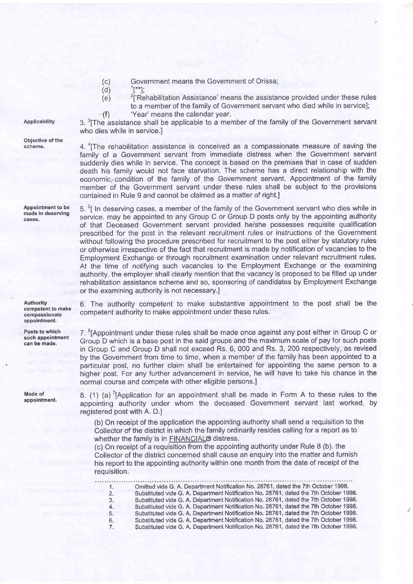- (c) Government means the Government of Orissa;<br>(d)  $\frac{1}{1}$ <sup>\*\*</sup>1:
	-
- $\frac{1}{2}$ ['Rehabilitation Assistance' means the assistance provided under these rules to a member of the family of Government servant who died while in service];
- ,(f) 'Year' means the calendar year.

 $3.$   $\text{6}$ The assistance shall be applicable to a member of the family of the Government servant who dies while in service.

4.  $\text{F}$ The rehabilitation assistance is conceived as a compassionate measure of saving the family of a Government servant from immediate distress when the Government servant suddenly dies while in service. The concept is based on the premises that in case of sudden death his family would not face starvation. The scheme has a direct relationship with the economic,'condition of the family of the Government servant. Appointment of the family member of the Government servant under these rules shall be subject to the provisions contained in Rule 9 and cannot be claimed as a matter of right.

5. <sup>5</sup>I In deserving cases, a member of the family of the Government servant who dies while in service. may be appointed to any Group C or Group D posts only by the appointing authority of that Deceased Government servant provided he/she possesses requisite qualification prescribed for the post in the relevant recruitment rules or instructions of the Government without following the procedure prescribed for recruitment to the post either by statutory rules or otherwise irrespective of the fact that recruitment is made by notification of vacancies to the Employment Exchange or through recruitment examination under relevant recruitment rules. At the time of notifying such vacancies to the Employment Exchange or the examining authority, the employer shall clearly mention that the vacancy is proposed to be filled up under rehabilitation assistance scheme and so, sponsoring of candidates by Employment Exchange or the examining authority is not necessary.l

6. The authority competent to make substantive appointment to the post shall be the competent authority to make appointment under these rules.

7. 6[Appointment under these rules shall be made once against any post either in Group C or Group D which is a base post in the said groups and the maximum scale of pay for such posts in Group C and Group D shall not exceed Rs. 6, 000 and Rs. 3, 200 respectively, as revised by the Government from time to time, when a member of the family has been appointed to a particular post, no further claim shall be entertained for appointing the same person to a higher post. For any further advancement in service, he will have to take his chance in the normal course and compete with other eligible persons.]

8. (1) (a)<sup>7</sup>[Application for an appointment shall be made in Form A to these rules to the appointing authority under whom the deceased Government servant last worked, by registered post with A. D.l

(b) On receipt of the application the appointing authority shall send a requisition to the Collector of the district in which the family ordinarily resides calling for a report as to whether the family is in FINANCIAL<sup>S</sup> distress.

(c) On receipt of a requisition from the appointing authority under Rule 8 (b). the Collector of the district concerned shall cause an enquiry into the matter and furnish his report to the appointing authority within one month from the date of receipt of the requisition.

Omitted vide G. A. Department Notification No.28761, dated the 7th October 1998. '1. Substituted vide G. A. Department Notification No. 28761, dated the 7th October 1998. 2. 3. Substituted vide G. A. Department Notification No. 28761, dated the 7th October 1998. Substituted vide G. A. Department Notification No.28761, dated the 7th October 1998. 4. 5. Substituted vide G. A. Department Notification No. 28761, dated the 7th October 1998. Substituted vide G. A. Department Notification No. 28761, dated the 7th October 1998. 6. Substituted vide G. A. Department Notification No. 28761, dated the 7th October 1998. 7.

Applicability

Objective of the scheme.

Appointment to be made in deseruing cases.

Authority competent to make compassionate appointment.

Posts to which such appointment can be made.

Mode of appointment.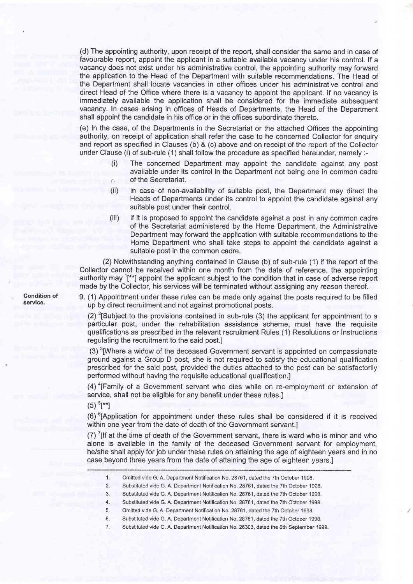(d) The appointing authority, upon receipt of the report, shall consider the same and in case of favourable report, appoint the applicant in a suitable available vacancy under his control. lf a vacancy does not exist under his administrative control, the appointing authority may forward the application to the Head of the Depaftment with suitable recommendations. The Head of the Department shall locate vacancies in other offices under his administrative control and direct Head of the Office where there is a vacancy to appoint the applicant. lf no vacancy is immediately available the application shall be considered for the immediate subsequent vacancy. In cases arising in offices of Heads of Departments, the Head of the Department shall appoint the candidate in his office or in the offices subordinate thereto.

(e) In the case, of the Departments in the Secretariat or the attached Offices the appointing authority, on receipt of application shall refer the case to he concerned Collector for enquiry and report as specified in Clauses (b) & (c) above and on receipt of the report of the Collector under Clause (i) of sub-rule (1) shall follow the procedure as specified hereunder, namely :-

- The concerned Department may appoint the candidate against any post available under its control in the Department not being one in common cadre of the Secretariat.
- (ii) ln case of non-availability of suitable post, the Department may direct the Heads of Departments under its control to appoint the candidate against any suitable post under their control.
- (iii) lf it is proposed to appoint the candidate against a post in any common cadre of the Secretariat administered by the Home Department, the Administrative Department may forward the application with suitable recommendations to the Home Department who shall take steps to appoint the candidate against a suitable post in the common cadre.

(2) Notwithstanding anything contained in Clause (b) of sub-rule (1)if the report of the Collector cannot be received within one month from the date of reference, the appointing authority may 1[\*\*] appoint the applicant subject to the condition that in case of adverse report made by the Collector, his services will be terminated without assigning any reason thereof.

9. (1) Appointment under these rules can be made only against the posts required to be filled up by direct recruitment and not against promotional posts.

(2) <sup>2</sup>[Subject to the provisions contained in sub-rule (3) the applicant for appointment to a particular post, under the rehabilitation assistance scheme, must have the requisite qualifications as prescribed in the relevant recruitment Rules (1) Resolutions or Instructions regulating the recruitment to the said post.l

 $(3)$  <sup>3</sup>[Where a widow of the deceased Government servant is appointed on compassionate ground against a Group D post, she is not required to satisfy the educational qualification prescribed for the said post, provided the duties attached to the post can be satisfactorily performed without having the requisite educational qualification.]

(4) 4[Family of a Government servant who dies while on re-employment or extension of service, shall not be eligible for any benefit under these rules.]

 $(5)$ <sup>5</sup>[\*\*]

(6)<sup> $6$ </sup>(Application for appointment under these rules shall be considered if it is received within one year from the date of death of the Government servant.]

 $(7)$  '[If at the time of death of the Government servant, there is ward who is minor and who alone is available in the family of the deceased Government servant for employment, he/she shall apply for job under these rules on attaining the age of eighteen years and in no case beyond three years from the date of attaining the age of eighteen years.]

- 1. Omitted vide G. A. Department Notification No. 28761, dated the 7th October 1998.
- 2. Substituted vide G. A. Department Notification No. 28761, dated the 7th October 1998.
- 3. Substituted vide G. A. Department Notification No. 28761, dated the 7th October 1998.
- 4. Substituted vide G. A. Department Notification No. 28761, dated the 7th October 1998.
- 5. Omitted vide G. A. Department Notification No. 28761, dated the 7th October 1998.
- o. Substituted vide G. A. Department Notification No. 28761, dated the 7th October 1998.
- 7. Substituted vide G. A. Department Notification No. 26303, dated the 6th September 1999.

Condition of service.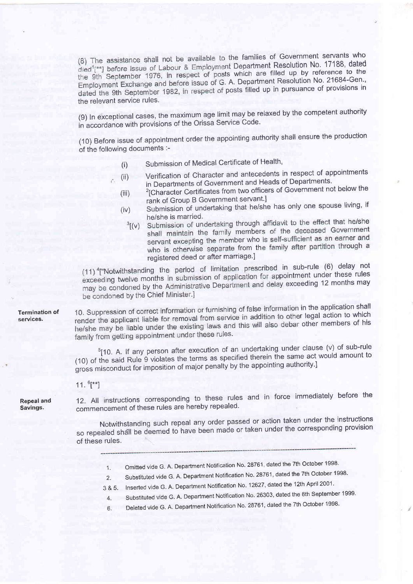(8) The assistance shall not be available to the families of Government servants who died<sup>1</sup>[\*\*] before issue of Labour & Employment Department Resolution No. 17188, dated the 9th September 1976, in respect of posts which are filled up by reference to the Employment Exchange and before issue of G. A. Department Resolution No. 21684-Gen., dated the 9th September 1982, in respect of posts filled up in pursuance of provisions in the relevant service rules.

(9) In exceptional cases, the maximum age limit may be relaxed by the competent authority in accordance with provisions of the Orissa Service Code.

(10) Before issue of appointment order the appointing authority shall ensure the production of the following documents :-

- 
- (i) Submission of Medical Certificate of Health,<br>(ii) Verification of Character and antecedents in respect of appointments (ii) Verification of Character and antecedents in respect of appointments of Government and Heads of Departments.
- (iii) <sup>2</sup>[Character Certificates from two officers of Government not below the rank of Group B Government servant.]
- (iv) Submission of undertaking that he/she has only one spouse living, if<br>he/she is married.
	- $h^3$ [(v) Submission of undertaking through affidavit to the effect that he/she shall maintain the family members of the deceased Government servant excepting the member who is self-sufficient as an earner and who is otherwise separate from the family after partition through a registered deed or after marriage.]

 $(11)$ <sup>4</sup>["Notwithstanding the period of limitation prescribed in sub-rule (6) delay not exceeding twelve months in submission of application for appointment under these rules may be condoned by the Administrative Department and delay exceeding 12 months may be condoned by the Chief Minister.]

10. Suppression of correct information or furnishing of false information in the application shall render the applicant liable for removal from service in addition to other legal action to which he/she may be liable under the existing laws and this will also debar other members of his family from getting appointment under these rules.

 $5$ [10. A. If any person after execution of an undertaking under clause (v) of sub-rule (10) of the said Rule 9 violates the terms as specified therein-the same act would amount to gross misconduct for imposition of major penalty by the appointing authority.]

11.  $6$ <sup>\*\*</sup>]

Repeal and Savings.

Termination of services.

> 12. All instructions corresponding to these rules and in force immediately before the commencement of these rules are hereby repealed.

> commonochtent Notwithstanding such repeal any order passed or action taken under the instructions so repealed shall be deemed to have been made or taken under the corresponding provision of these rules.

- 1. Omitted vide G. A. Department Notification No. 28761, dated the 7th October 1998.
- 2. Substituted vide G. A. Department Notification No. 28761, dated the 7th October 1998.
- 3 & 5. Inserted vide G. A. Department Notification No. 12627, dated the 12th April 2001.
- 4. Substituted vide G. A. Department Notification No. 26303, dated the 6th September 1999.
- 6. Deleted vide G. A. Department Notification No. 28761, dated the 7th October 1998.